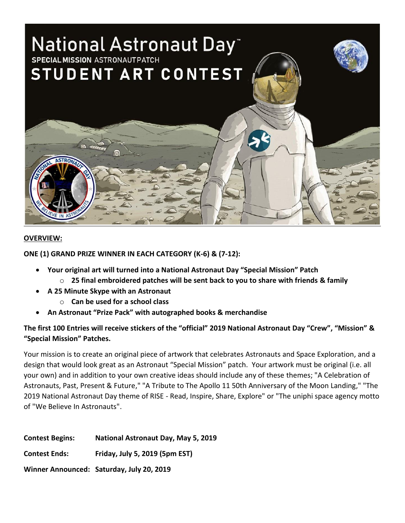

#### **OVERVIEW:**

**ONE (1) GRAND PRIZE WINNER IN EACH CATEGORY (K-6) & (7-12):** 

- **Your original art will turned into a National Astronaut Day "Special Mission" Patch** 
	- o **25 final embroidered patches will be sent back to you to share with friends & family**
- **A 25 Minute Skype with an Astronaut**
	- o **Can be used for a school class**
- **An Astronaut "Prize Pack" with autographed books & merchandise**

## **The first 100 Entries will receive stickers of the "official" 2019 National Astronaut Day "Crew", "Mission" & "Special Mission" Patches.**

Your mission is to create an original piece of artwork that celebrates Astronauts and Space Exploration, and a design that would look great as an Astronaut "Special Mission" patch. Your artwork must be original (i.e. all your own) and in addition to your own creative ideas should include any of these themes; "A Celebration of Astronauts, Past, Present & Future," "A Tribute to The Apollo 11 50th Anniversary of the Moon Landing," "The 2019 National Astronaut Day theme of RISE - Read, Inspire, Share, Explore" or "The uniphi space agency motto of "We Believe In Astronauts".

| <b>Contest Begins:</b> | <b>National Astronaut Day, May 5, 2019</b> |
|------------------------|--------------------------------------------|
| <b>Contest Ends:</b>   | Friday, July 5, 2019 (5pm EST)             |
|                        | Winner Announced: Saturday, July 20, 2019  |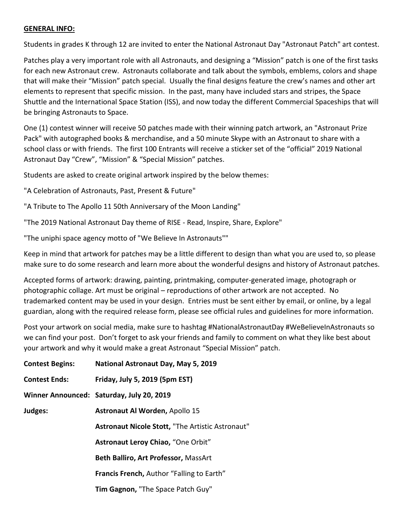#### **GENERAL INFO:**

Students in grades K through 12 are invited to enter the National Astronaut Day "Astronaut Patch" art contest.

Patches play a very important role with all Astronauts, and designing a "Mission" patch is one of the first tasks for each new Astronaut crew. Astronauts collaborate and talk about the symbols, emblems, colors and shape that will make their "Mission" patch special. Usually the final designs feature the crew's names and other art elements to represent that specific mission. In the past, many have included stars and stripes, the Space Shuttle and the International Space Station (ISS), and now today the different Commercial Spaceships that will be bringing Astronauts to Space.

One (1) contest winner will receive 50 patches made with their winning patch artwork, an "Astronaut Prize Pack" with autographed books & merchandise, and a 50 minute Skype with an Astronaut to share with a school class or with friends. The first 100 Entrants will receive a sticker set of the "official" 2019 National Astronaut Day "Crew", "Mission" & "Special Mission" patches.

Students are asked to create original artwork inspired by the below themes:

"A Celebration of Astronauts, Past, Present & Future"

"A Tribute to The Apollo 11 50th Anniversary of the Moon Landing"

"The 2019 National Astronaut Day theme of RISE - Read, Inspire, Share, Explore"

"The uniphi space agency motto of "We Believe In Astronauts""

Keep in mind that artwork for patches may be a little different to design than what you are used to, so please make sure to do some research and learn more about the wonderful designs and history of Astronaut patches.

Accepted forms of artwork: drawing, painting, printmaking, computer-generated image, photograph or photographic collage. Art must be original – reproductions of other artwork are not accepted. No trademarked content may be used in your design. Entries must be sent either by email, or online, by a legal guardian, along with the required release form, please see official rules and guidelines for more information.

Post your artwork on social media, make sure to hashtag #NationalAstronautDay #WeBelieveInAstronauts so we can find your post. Don't forget to ask your friends and family to comment on what they like best about your artwork and why it would make a great Astronaut "Special Mission" patch.

| <b>Contest Begins:</b> | <b>National Astronaut Day, May 5, 2019</b>       |  |
|------------------------|--------------------------------------------------|--|
| <b>Contest Ends:</b>   | Friday, July 5, 2019 (5pm EST)                   |  |
|                        | Winner Announced: Saturday, July 20, 2019        |  |
| Judges:                | <b>Astronaut Al Worden, Apollo 15</b>            |  |
|                        | Astronaut Nicole Stott, "The Artistic Astronaut" |  |
|                        | Astronaut Leroy Chiao, "One Orbit"               |  |
|                        | Beth Balliro, Art Professor, MassArt             |  |
|                        | <b>Francis French, Author "Falling to Earth"</b> |  |
|                        | Tim Gagnon, "The Space Patch Guy"                |  |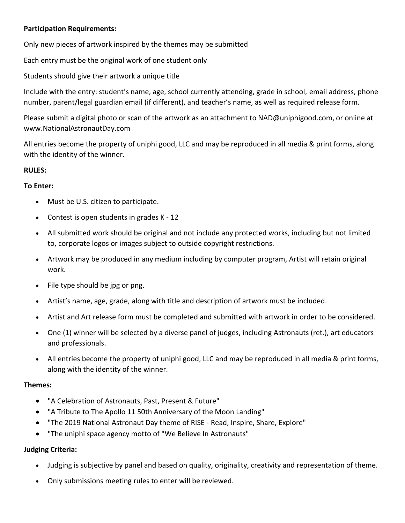### **Participation Requirements:**

Only new pieces of artwork inspired by the themes may be submitted

Each entry must be the original work of one student only

Students should give their artwork a unique title

Include with the entry: student's name, age, school currently attending, grade in school, email address, phone number, parent/legal guardian email (if different), and teacher's name, as well as required release form.

Please submit a digital photo or scan of the artwork as an attachment to NAD@uniphigood.com, or online at www.NationalAstronautDay.com

All entries become the property of uniphi good, LLC and may be reproduced in all media & print forms, along with the identity of the winner.

## **RULES:**

## **To Enter:**

- Must be U.S. citizen to participate.
- Contest is open students in grades K 12
- All submitted work should be original and not include any protected works, including but not limited to, corporate logos or images subject to outside copyright restrictions.
- Artwork may be produced in any medium including by computer program, Artist will retain original work.
- File type should be jpg or png.
- Artist's name, age, grade, along with title and description of artwork must be included.
- Artist and Art release form must be completed and submitted with artwork in order to be considered.
- One (1) winner will be selected by a diverse panel of judges, including Astronauts (ret.), art educators and professionals.
- All entries become the property of uniphi good, LLC and may be reproduced in all media & print forms, along with the identity of the winner.

### **Themes:**

- "A Celebration of Astronauts, Past, Present & Future"
- "A Tribute to The Apollo 11 50th Anniversary of the Moon Landing"
- "The 2019 National Astronaut Day theme of RISE Read, Inspire, Share, Explore"
- "The uniphi space agency motto of "We Believe In Astronauts"

## **Judging Criteria:**

- Judging is subjective by panel and based on quality, originality, creativity and representation of theme.
- Only submissions meeting rules to enter will be reviewed.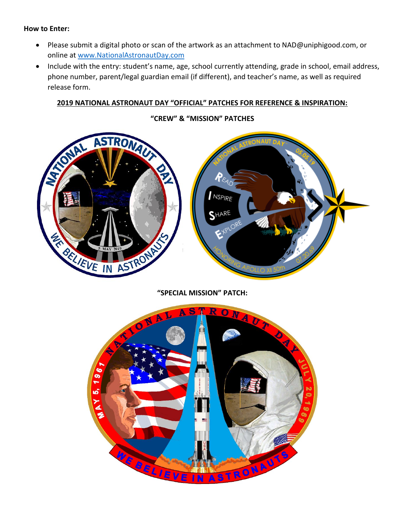#### **How to Enter:**

- Please submit a digital photo or scan of the artwork as an attachment to NAD@uniphigood.com, or online at [www.NationalAstronautDay.com](http://www.nationalastronautday.com/)
- Include with the entry: student's name, age, school currently attending, grade in school, email address, phone number, parent/legal guardian email (if different), and teacher's name, as well as required release form.

## **2019 NATIONAL ASTRONAUT DAY "OFFICIAL" PATCHES FOR REFERENCE & INSPIRATION:**

**"CREW" & "MISSION" PATCHES**



**"SPECIAL MISSION" PATCH:**

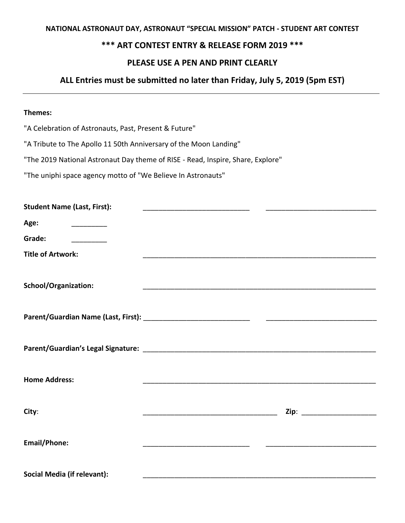# **\*\*\* ART CONTEST ENTRY & RELEASE FORM 2019 \*\*\***

## **PLEASE USE A PEN AND PRINT CLEARLY**

## **ALL Entries must be submitted no later than Friday, July 5, 2019 (5pm EST)**

#### **Themes:**

"A Celebration of Astronauts, Past, Present & Future"

"A Tribute to The Apollo 11 50th Anniversary of the Moon Landing"

"The 2019 National Astronaut Day theme of RISE - Read, Inspire, Share, Explore"

"The uniphi space agency motto of "We Believe In Astronauts"

| <b>Student Name (Last, First):</b>                                                                                                                                                                                                                                                                                                                                                                                             | <u> 1980 - Jan Samuel Barbara, president e</u> |                               |
|--------------------------------------------------------------------------------------------------------------------------------------------------------------------------------------------------------------------------------------------------------------------------------------------------------------------------------------------------------------------------------------------------------------------------------|------------------------------------------------|-------------------------------|
| Age:<br>$\begin{tabular}{ccccc} \multicolumn{2}{c }{\textbf{1} & \textbf{2} & \textbf{3} & \textbf{4} & \textbf{5} & \textbf{5} & \textbf{6} & \textbf{6} & \textbf{7} & \textbf{8} & \textbf{8} & \textbf{9} & \textbf{10} & \textbf{10} & \textbf{10} & \textbf{10} & \textbf{10} & \textbf{10} & \textbf{10} & \textbf{10} & \textbf{10} & \textbf{10} & \textbf{10} & \textbf{10} & \textbf{10} & \textbf{10} & \textbf{1$ |                                                |                               |
| Grade:                                                                                                                                                                                                                                                                                                                                                                                                                         |                                                |                               |
| <b>Title of Artwork:</b>                                                                                                                                                                                                                                                                                                                                                                                                       |                                                |                               |
| <b>School/Organization:</b>                                                                                                                                                                                                                                                                                                                                                                                                    |                                                |                               |
|                                                                                                                                                                                                                                                                                                                                                                                                                                |                                                |                               |
|                                                                                                                                                                                                                                                                                                                                                                                                                                |                                                |                               |
| <b>Home Address:</b>                                                                                                                                                                                                                                                                                                                                                                                                           |                                                |                               |
| City:                                                                                                                                                                                                                                                                                                                                                                                                                          |                                                | Zip: ________________________ |
| Email/Phone:                                                                                                                                                                                                                                                                                                                                                                                                                   |                                                |                               |
| <b>Social Media (if relevant):</b>                                                                                                                                                                                                                                                                                                                                                                                             |                                                |                               |